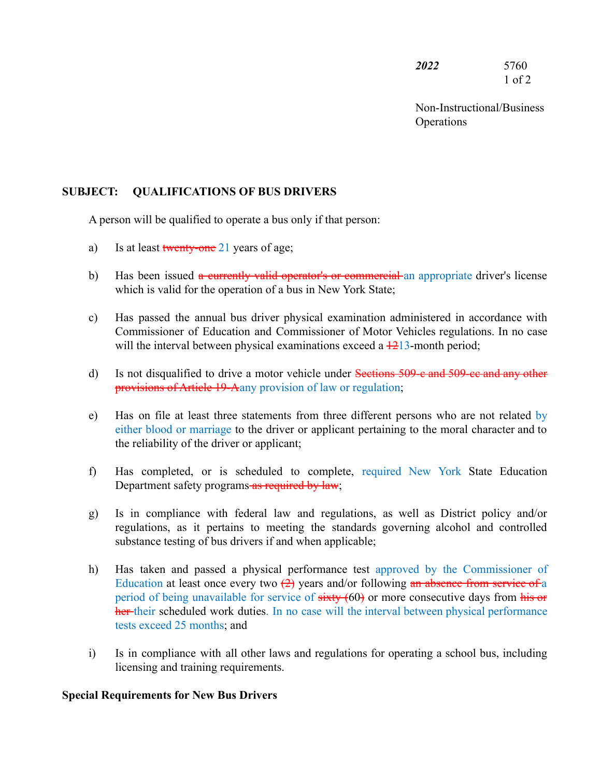*2022* 5760 1 of 2

Non-Instructional/Business **Operations** 

# **SUBJECT: QUALIFICATIONS OF BUS DRIVERS**

A person will be qualified to operate a bus only if that person:

- a) Is at least twenty-one 21 years of age;
- b) Has been issued a currently valid operator's or commercial an appropriate driver's license which is valid for the operation of a bus in New York State;
- c) Has passed the annual bus driver physical examination administered in accordance with Commissioner of Education and Commissioner of Motor Vehicles regulations. In no case will the interval between physical examinations exceed a  $\frac{1213}{1213}$ -month period;
- d) Is not disqualified to drive a motor vehicle under Sections 509-c and 509-ce and any other provisions of Article 19-Aany provision of law or regulation;
- e) Has on file at least three statements from three different persons who are not related by either blood or marriage to the driver or applicant pertaining to the moral character and to the reliability of the driver or applicant;
- f) Has completed, or is scheduled to complete, required New York State Education Department safety programs as required by law;
- g) Is in compliance with federal law and regulations, as well as District policy and/or regulations, as it pertains to meeting the standards governing alcohol and controlled substance testing of bus drivers if and when applicable;
- h) Has taken and passed a physical performance test approved by the Commissioner of Education at least once every two  $\left(\frac{2}{2}\right)$  years and/or following an absence from service of a period of being unavailable for service of sixty (60) or more consecutive days from his or her their scheduled work duties. In no case will the interval between physical performance tests exceed 25 months; and
- i) Is in compliance with all other laws and regulations for operating a school bus, including licensing and training requirements.

#### **Special Requirements for New Bus Drivers**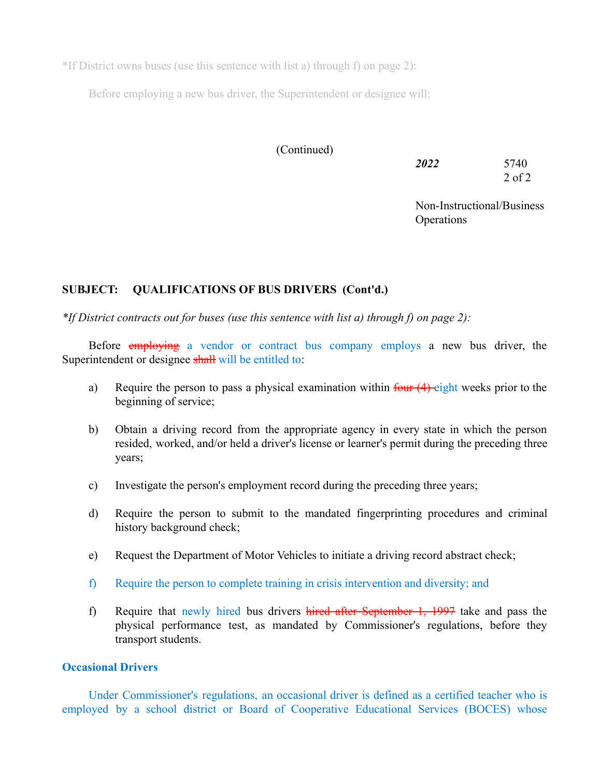\*If District owns buses (use this sentence with list a) through f) on page 2):

Before employing a new bus driver, the Superintendent or designee will:

# (Continued)

| 2022 | 5740       |
|------|------------|
|      | $2$ of $2$ |

Non-Instructional/Business **Operations** 

# **SUBJECT: QUALIFICATIONS OF BUS DRIVERS (Cont'd.)**

*\*If District contracts out for buses (use this sentence with list a) through f) on page 2):*

Before employing a vendor or contract bus company employs a new bus driver, the Superintendent or designee shall will be entitled to:

- a) Require the person to pass a physical examination within  $\frac{\text{four (4) eight weeks prior to the}}{\text{...}}$ beginning of service;
- b) Obtain a driving record from the appropriate agency in every state in which the person resided, worked, and/or held a driver's license or learner's permit during the preceding three years;
- c) Investigate the person's employment record during the preceding three years;
- d) Require the person to submit to the mandated fingerprinting procedures and criminal history background check;
- e) Request the Department of Motor Vehicles to initiate a driving record abstract check;
- f) Require the person to complete training in crisis intervention and diversity; and
- f) Require that newly hired bus drivers hired after September  $1, 1997$  take and pass the physical performance test, as mandated by Commissioner's regulations, before they transport students.

## **Occasional Drivers**

Under Commissioner's regulations, an occasional driver is defined as a certified teacher who is employed by a school district or Board of Cooperative Educational Services (BOCES) whose